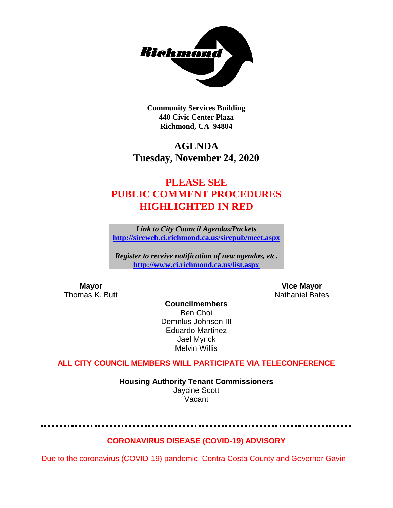

**Community Services Building 440 Civic Center Plaza Richmond, CA 94804**

# **AGENDA Tuesday, November 24, 2020**

# **PLEASE SEE PUBLIC COMMENT PROCEDURES HIGHLIGHTED IN RED**

*Link to City Council Agendas/Packets* **<http://sireweb.ci.richmond.ca.us/sirepub/meet.aspx>**

*Register to receive notification of new agendas, etc.* **<http://www.ci.richmond.ca.us/list.aspx>**

**Mayor Mayor Wice Mayor Vice Mayor Vice Mayor Vice Mayor Vice Mayor Vice Mayor Vice Mayor Vice Mayor Vice Mayor Vice Mayor Vice Mayor Vice Mayor Vice Mayor Vice Mayor Vice Mayor Vice Mayor** Nathaniel Bates

**Councilmembers** Ben Choi Demnlus Johnson III Eduardo Martinez Jael Myrick Melvin Willis

### **ALL CITY COUNCIL MEMBERS WILL PARTICIPATE VIA TELECONFERENCE**

**Housing Authority Tenant Commissioners** Jaycine Scott Vacant

### **CORONAVIRUS DISEASE (COVID-19) ADVISORY**

Due to the coronavirus (COVID-19) pandemic, Contra Costa County and Governor Gavin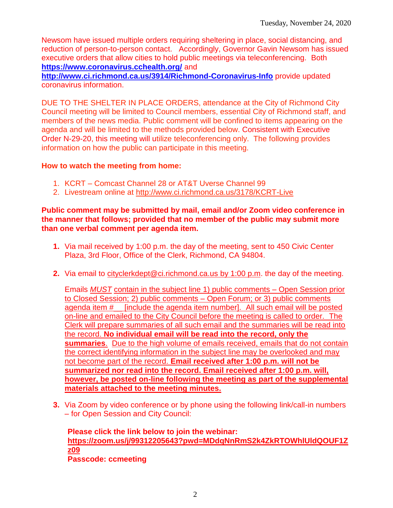Newsom have issued multiple orders requiring sheltering in place, social distancing, and reduction of person-to-person contact. Accordingly, Governor Gavin Newsom has issued executive orders that allow cities to hold public meetings via teleconferencing. Both **<https://www.coronavirus.cchealth.org/>** and

**<http://www.ci.richmond.ca.us/3914/Richmond-Coronavirus-Info>** provide updated coronavirus information.

DUE TO THE SHELTER IN PLACE ORDERS, attendance at the City of Richmond City Council meeting will be limited to Council members, essential City of Richmond staff, and members of the news media. Public comment will be confined to items appearing on the agenda and will be limited to the methods provided below. Consistent with Executive Order N-29-20, this meeting will utilize teleconferencing only. The following provides information on how the public can participate in this meeting.

#### **How to watch the meeting from home:**

- 1. KCRT Comcast Channel 28 or AT&T Uverse Channel 99
- 2. Livestream online at<http://www.ci.richmond.ca.us/3178/KCRT-Live>

#### **Public comment may be submitted by mail, email and/or Zoom video conference in the manner that follows; provided that no member of the public may submit more than one verbal comment per agenda item.**

- **1.** Via mail received by 1:00 p.m. the day of the meeting, sent to 450 Civic Center Plaza, 3rd Floor, Office of the Clerk, Richmond, CA 94804.
- **2.** Via email to [cityclerkdept@ci.richmond.ca.us](mailto:cityclerkdept@ci.richmond.ca.us) by 1:00 p.m. the day of the meeting.

Emails *MUST* contain in the subject line 1) public comments – Open Session prior to Closed Session; 2) public comments – Open Forum; or 3) public comments agenda item #\_\_ [include the agenda item number]. All such email will be posted on-line and emailed to the City Council before the meeting is called to order. The Clerk will prepare summaries of all such email and the summaries will be read into the record. **No individual email will be read into the record, only the summaries**. Due to the high volume of emails received, emails that do not contain the correct identifying information in the subject line may be overlooked and may not become part of the record. **Email received after 1:00 p.m. will not be summarized nor read into the record. Email received after 1:00 p.m. will, however, be posted on-line following the meeting as part of the supplemental materials attached to the meeting minutes.**

**3.** Via Zoom by video conference or by phone using the following link/call-in numbers – for Open Session and City Council:

**Please click the link below to join the webinar: [https://zoom.us/j/99312205643?pwd=MDdqNnRmS2k4ZkRTOWhlUldQOUF1Z](https://zoom.us/j/99312205643?pwd=MDdqNnRmS2k4ZkRTOWhlUldQOUF1Zz09) [z09](https://zoom.us/j/99312205643?pwd=MDdqNnRmS2k4ZkRTOWhlUldQOUF1Zz09) Passcode: ccmeeting**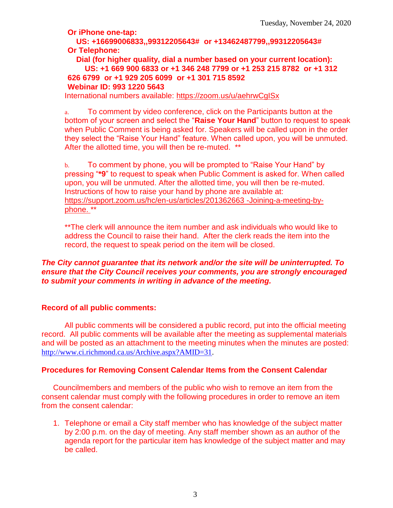**Or iPhone one-tap:**

**US: +16699006833,,99312205643# or +13462487799,,99312205643# Or Telephone:**

**Dial (for higher quality, dial a number based on your current location): US: +1 669 900 6833 or +1 346 248 7799 or +1 253 215 8782 or +1 312 626 6799 or +1 929 205 6099 or +1 301 715 8592 Webinar ID: 993 1220 5643**

International numbers available:<https://zoom.us/u/aehrwCgISx>

a. To comment by video conference, click on the Participants button at the bottom of your screen and select the "**Raise Your Hand**" button to request to speak when Public Comment is being asked for. Speakers will be called upon in the order they select the "Raise Your Hand" feature. When called upon, you will be unmuted. After the allotted time, you will then be re-muted. \*\*

b. To comment by phone, you will be prompted to "Raise Your Hand" by pressing "**\*9**" to request to speak when Public Comment is asked for. When called upon, you will be unmuted. After the allotted time, you will then be re-muted. Instructions of how to raise your hand by phone are available at: [https://support.zoom.us/hc/en-us/articles/201362663 -Joining-a-meeting-by](https://support.zoom.us/hc/en-us/articles/201362663)[phone.](https://support.zoom.us/hc/en-us/articles/201362663) \*\*

\*\*The clerk will announce the item number and ask individuals who would like to address the Council to raise their hand. After the clerk reads the item into the record, the request to speak period on the item will be closed.

#### *The City cannot guarantee that its network and/or the site will be uninterrupted. To ensure that the City Council receives your comments, you are strongly encouraged to submit your comments in writing in advance of the meeting.*

#### **Record of all public comments:**

All public comments will be considered a public record, put into the official meeting record. All public comments will be available after the meeting as supplemental materials and will be posted as an attachment to the meeting minutes when the minutes are posted: [http://www.ci.richmond.ca.us/Archive.aspx?AMID=31.](http://www.ci.richmond.ca.us/Archive.aspx?AMID=31)

#### **Procedures for Removing Consent Calendar Items from the Consent Calendar**

Councilmembers and members of the public who wish to remove an item from the consent calendar must comply with the following procedures in order to remove an item from the consent calendar:

1. Telephone or email a City staff member who has knowledge of the subject matter by 2:00 p.m. on the day of meeting. Any staff member shown as an author of the agenda report for the particular item has knowledge of the subject matter and may be called.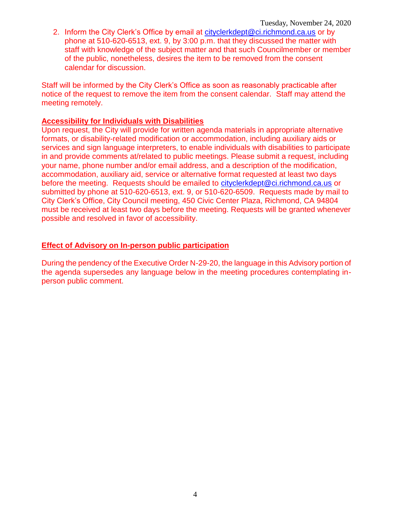2. Inform the City Clerk's Office by email at [cityclerkdept@ci.richmond.ca.us](mailto:cityclerkdept@ci.richmond.ca.us) or by phone at 510-620-6513, ext. 9, by 3:00 p.m. that they discussed the matter with staff with knowledge of the subject matter and that such Councilmember or member of the public, nonetheless, desires the item to be removed from the consent calendar for discussion.

Staff will be informed by the City Clerk's Office as soon as reasonably practicable after notice of the request to remove the item from the consent calendar. Staff may attend the meeting remotely.

#### **Accessibility for Individuals with Disabilities**

Upon request, the City will provide for written agenda materials in appropriate alternative formats, or disability-related modification or accommodation, including auxiliary aids or services and sign language interpreters, to enable individuals with disabilities to participate in and provide comments at/related to public meetings. Please submit a request, including your name, phone number and/or email address, and a description of the modification, accommodation, auxiliary aid, service or alternative format requested at least two days before the meeting. Requests should be emailed to [cityclerkdept@ci.richmond.ca.us](mailto:cityclerkdept@ci.richmond.ca.us) or submitted by phone at 510-620-6513, ext. 9, or 510-620-6509. Requests made by mail to City Clerk's Office, City Council meeting, 450 Civic Center Plaza, Richmond, CA 94804 must be received at least two days before the meeting. Requests will be granted whenever possible and resolved in favor of accessibility.

#### **Effect of Advisory on In-person public participation**

During the pendency of the Executive Order N-29-20, the language in this Advisory portion of the agenda supersedes any language below in the meeting procedures contemplating inperson public comment.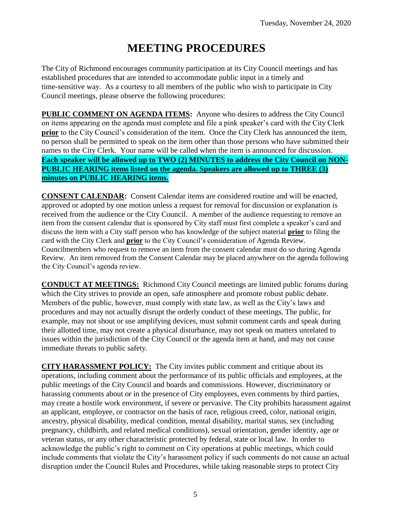# **MEETING PROCEDURES**

The City of Richmond encourages community participation at its City Council meetings and has established procedures that are intended to accommodate public input in a timely and time-sensitive way. As a courtesy to all members of the public who wish to participate in City Council meetings, please observe the following procedures:

**PUBLIC COMMENT ON AGENDA ITEMS:** Anyone who desires to address the City Council on items appearing on the agenda must complete and file a pink speaker's card with the City Clerk **prior** to the City Council's consideration of the item. Once the City Clerk has announced the item, no person shall be permitted to speak on the item other than those persons who have submitted their names to the City Clerk. Your name will be called when the item is announced for discussion. **Each speaker will be allowed up to TWO (2) MINUTES to address the City Council on NON-PUBLIC HEARING items listed on the agenda. Speakers are allowed up to THREE (3) minutes on PUBLIC HEARING items.**

**CONSENT CALENDAR:** Consent Calendar items are considered routine and will be enacted, approved or adopted by one motion unless a request for removal for discussion or explanation is received from the audience or the City Council. A member of the audience requesting to remove an item from the consent calendar that is sponsored by City staff must first complete a speaker's card and discuss the item with a City staff person who has knowledge of the subject material **prior** to filing the card with the City Clerk and **prior** to the City Council's consideration of Agenda Review. Councilmembers who request to remove an item from the consent calendar must do so during Agenda Review. An item removed from the Consent Calendar may be placed anywhere on the agenda following the City Council's agenda review.

**CONDUCT AT MEETINGS:** Richmond City Council meetings are limited public forums during which the City strives to provide an open, safe atmosphere and promote robust public debate. Members of the public, however, must comply with state law, as well as the City's laws and procedures and may not actually disrupt the orderly conduct of these meetings. The public, for example, may not shout or use amplifying devices, must submit comment cards and speak during their allotted time, may not create a physical disturbance, may not speak on matters unrelated to issues within the jurisdiction of the City Council or the agenda item at hand, and may not cause immediate threats to public safety.

**CITY HARASSMENT POLICY:** The City invites public comment and critique about its operations, including comment about the performance of its public officials and employees, at the public meetings of the City Council and boards and commissions. However, discriminatory or harassing comments about or in the presence of City employees, even comments by third parties, may create a hostile work environment, if severe or pervasive. The City prohibits harassment against an applicant, employee, or contractor on the basis of race, religious creed, color, national origin, ancestry, physical disability, medical condition, mental disability, marital status, sex (including pregnancy, childbirth, and related medical conditions), sexual orientation, gender identity, age or veteran status, or any other characteristic protected by federal, state or local law. In order to acknowledge the public's right to comment on City operations at public meetings, which could include comments that violate the City's harassment policy if such comments do not cause an actual disruption under the Council Rules and Procedures, while taking reasonable steps to protect City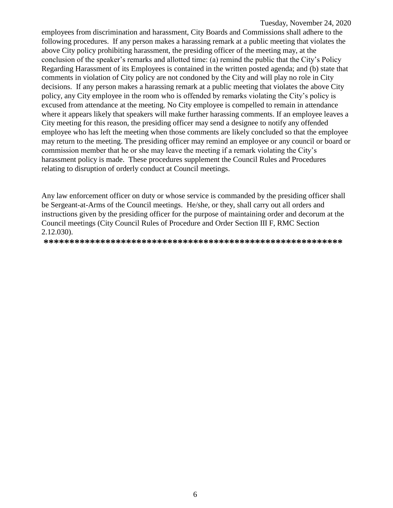employees from discrimination and harassment, City Boards and Commissions shall adhere to the following procedures. If any person makes a harassing remark at a public meeting that violates the above City policy prohibiting harassment, the presiding officer of the meeting may, at the conclusion of the speaker's remarks and allotted time: (a) remind the public that the City's Policy Regarding Harassment of its Employees is contained in the written posted agenda; and (b) state that comments in violation of City policy are not condoned by the City and will play no role in City decisions. If any person makes a harassing remark at a public meeting that violates the above City policy, any City employee in the room who is offended by remarks violating the City's policy is excused from attendance at the meeting. No City employee is compelled to remain in attendance where it appears likely that speakers will make further harassing comments. If an employee leaves a City meeting for this reason, the presiding officer may send a designee to notify any offended employee who has left the meeting when those comments are likely concluded so that the employee may return to the meeting. The presiding officer may remind an employee or any council or board or commission member that he or she may leave the meeting if a remark violating the City's harassment policy is made. These procedures supplement the Council Rules and Procedures relating to disruption of orderly conduct at Council meetings.

Any law enforcement officer on duty or whose service is commanded by the presiding officer shall be Sergeant-at-Arms of the Council meetings. He/she, or they, shall carry out all orders and instructions given by the presiding officer for the purpose of maintaining order and decorum at the Council meetings (City Council Rules of Procedure and Order Section III F, RMC Section 2.12.030).

**\*\*\*\*\*\*\*\*\*\*\*\*\*\*\*\*\*\*\*\*\*\*\*\*\*\*\*\*\*\*\*\*\*\*\*\*\*\*\*\*\*\*\*\*\*\*\*\*\*\*\*\*\*\*\*\*\*\***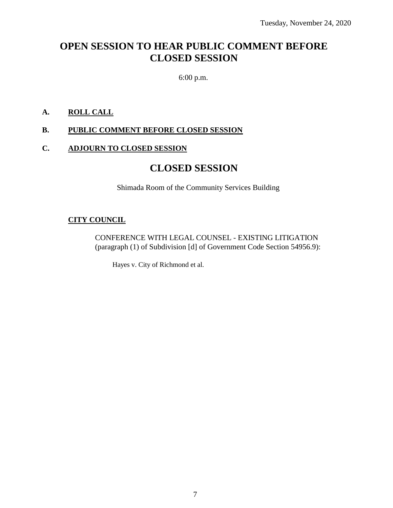# **OPEN SESSION TO HEAR PUBLIC COMMENT BEFORE CLOSED SESSION**

6:00 p.m.

#### **A. ROLL CALL**

#### **B. PUBLIC COMMENT BEFORE CLOSED SESSION**

#### **C. ADJOURN TO CLOSED SESSION**

## **CLOSED SESSION**

Shimada Room of the Community Services Building

#### **CITY COUNCIL**

CONFERENCE WITH LEGAL COUNSEL - EXISTING LITIGATION (paragraph (1) of Subdivision [d] of Government Code Section 54956.9):

Hayes v. City of Richmond et al.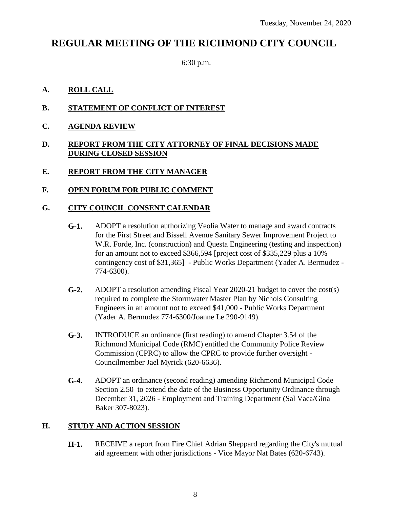# **REGULAR MEETING OF THE RICHMOND CITY COUNCIL**

6:30 p.m.

### **A. ROLL CALL**

- **B. STATEMENT OF CONFLICT OF INTEREST**
- **C. AGENDA REVIEW**

#### **D. REPORT FROM THE CITY ATTORNEY OF FINAL DECISIONS MADE DURING CLOSED SESSION**

- **E. REPORT FROM THE CITY MANAGER**
- **F. OPEN FORUM FOR PUBLIC COMMENT**

### **G. CITY COUNCIL CONSENT CALENDAR**

- **G-1.** ADOPT a resolution authorizing Veolia Water to manage and award contracts for the First Street and Bissell Avenue Sanitary Sewer Improvement Project to W.R. Forde, Inc. (construction) and Questa Engineering (testing and inspection) for an amount not to exceed \$366,594 [project cost of \$335,229 plus a 10% contingency cost of \$31,365] - Public Works Department (Yader A. Bermudez - 774-6300).
- **G-2.** ADOPT a resolution amending Fiscal Year 2020-21 budget to cover the cost(s) required to complete the Stormwater Master Plan by Nichols Consulting Engineers in an amount not to exceed \$41,000 - Public Works Department (Yader A. Bermudez 774-6300/Joanne Le 290-9149).
- **G-3.** INTRODUCE an ordinance (first reading) to amend Chapter 3.54 of the Richmond Municipal Code (RMC) entitled the Community Police Review Commission (CPRC) to allow the CPRC to provide further oversight - Councilmember Jael Myrick (620-6636).
- **G-4.** ADOPT an ordinance (second reading) amending Richmond Municipal Code Section 2.50 to extend the date of the Business Opportunity Ordinance through December 31, 2026 - Employment and Training Department (Sal Vaca/Gina Baker 307-8023).

### **H. STUDY AND ACTION SESSION**

**H-1.** RECEIVE a report from Fire Chief Adrian Sheppard regarding the City's mutual aid agreement with other jurisdictions - Vice Mayor Nat Bates (620-6743).